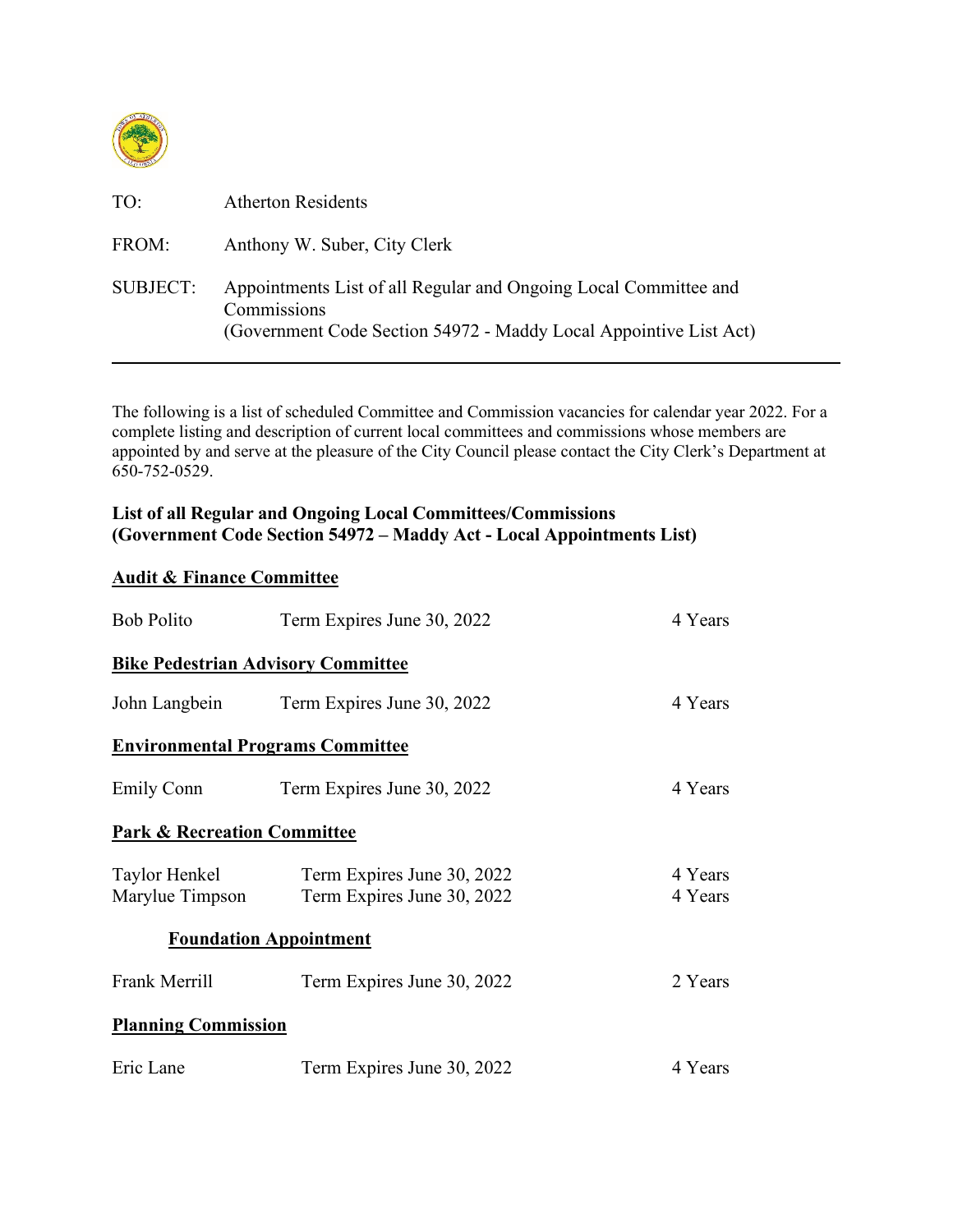

| TO:             | <b>Atherton Residents</b>                                                                                                                            |
|-----------------|------------------------------------------------------------------------------------------------------------------------------------------------------|
| FROM:           | Anthony W. Suber, City Clerk                                                                                                                         |
| <b>SUBJECT:</b> | Appointments List of all Regular and Ongoing Local Committee and<br>Commissions<br>(Government Code Section 54972 - Maddy Local Appointive List Act) |

The following is a list of scheduled Committee and Commission vacancies for calendar year 2022. For a complete listing and description of current local committees and commissions whose members are appointed by and serve at the pleasure of the City Council please contact the City Clerk's Department at 650-752-0529.

## **List of all Regular and Ongoing Local Committees/Commissions (Government Code Section 54972 – Maddy Act - Local Appointments List)**

## **Audit & Finance Committee**

| <b>Bob Polito</b>                         | Term Expires June 30, 2022                               | 4 Years            |
|-------------------------------------------|----------------------------------------------------------|--------------------|
| <b>Bike Pedestrian Advisory Committee</b> |                                                          |                    |
| John Langbein                             | Term Expires June 30, 2022                               | 4 Years            |
| <b>Environmental Programs Committee</b>   |                                                          |                    |
| Emily Conn                                | Term Expires June 30, 2022                               | 4 Years            |
| <b>Park &amp; Recreation Committee</b>    |                                                          |                    |
| Taylor Henkel<br>Marylue Timpson          | Term Expires June 30, 2022<br>Term Expires June 30, 2022 | 4 Years<br>4 Years |
| <b>Foundation Appointment</b>             |                                                          |                    |
| Frank Merrill                             | Term Expires June 30, 2022                               | 2 Years            |
| <b>Planning Commission</b>                |                                                          |                    |
| Eric Lane                                 | Term Expires June 30, 2022                               | 4 Years            |